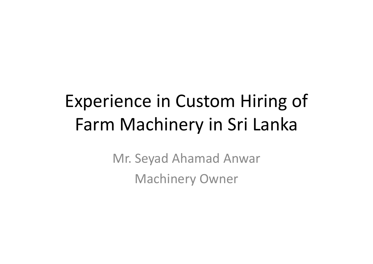# Experience in Custom Hiring of Farm Machinery in Sri Lanka

Mr. Seyad Ahamad Anwar Machinery Owner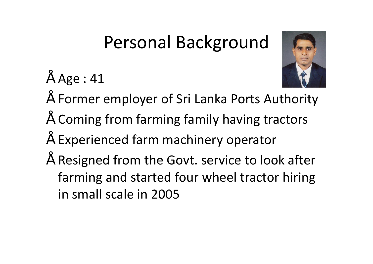### Personal Background

• Age : 41



- Former employer of Sri Lanka Ports Authority
- Coming from farming family having tractors
- Experienced farm machinery operator
- Resigned from the Govt. service to look after farming and started four wheel tractor hiring in small scale in 2005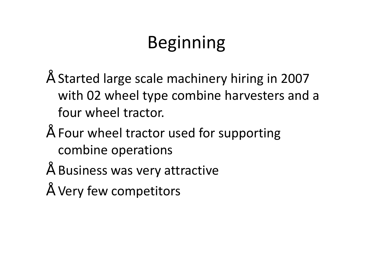# Beginning

- Started large scale machinery hiring in 2007 with 02 wheel type combine harvesters and a four wheel tractor.
- Four wheel tractor used for supporting combine operations
- Business was very attractive
- " Very few competitors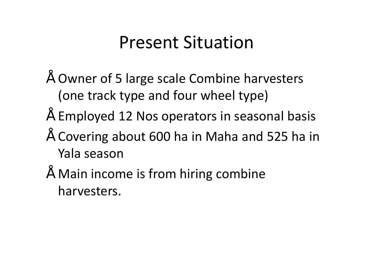#### Present Situation

- Owner of 5 large scale Combine harvesters (one track type and four wheel type)
- Employed 12 Nos operators in seasonal basis
- Covering about 600 ha in Maha and 525 ha in Yala season
- Main income is from hiring combine harvesters.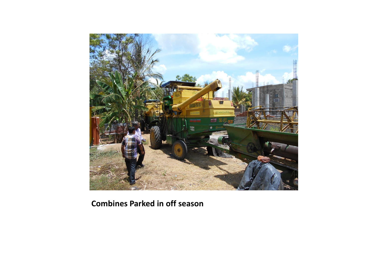

**Combines Parked in off season**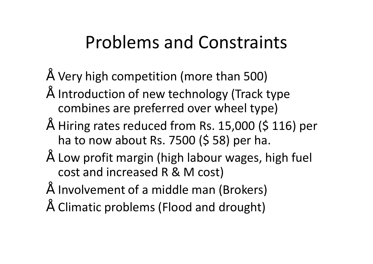### Problems and Constraints

- $\degree$  Very high competition (more than 500)
- Introduction of new technology (Track type combines are preferred over wheel type)
- $"$  Hiring rates reduced from Rs. 15,000 (\$ 116) per ha to now about Rs. 7500 (\$ 58) per ha.
- Low profit margin (high labour wages, high fuel cost and increased R & M cost)
- Involvement of a middle man (Brokers)
- Climatic problems (Flood and drought)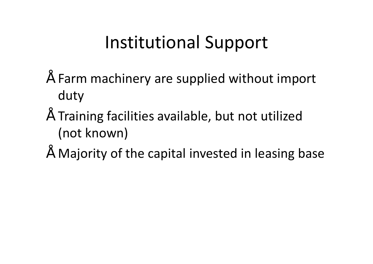### Institutional Support

- Farm machinery are supplied without import duty
- Training facilities available, but not utilized (not known)
- Majority of the capital invested in leasing base